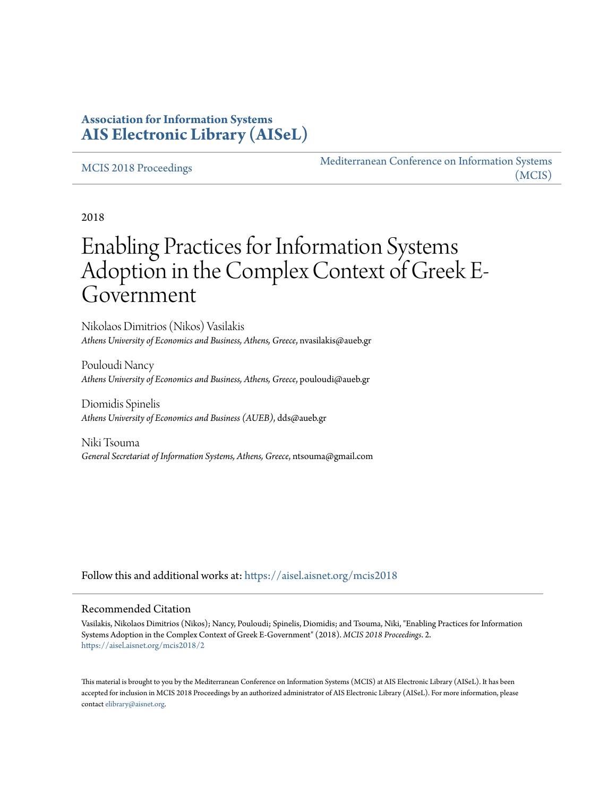## **Association for Information Systems [AIS Electronic Library \(AISeL\)](https://aisel.aisnet.org?utm_source=aisel.aisnet.org%2Fmcis2018%2F2&utm_medium=PDF&utm_campaign=PDFCoverPages)**

#### [MCIS 2018 Proceedings](https://aisel.aisnet.org/mcis2018?utm_source=aisel.aisnet.org%2Fmcis2018%2F2&utm_medium=PDF&utm_campaign=PDFCoverPages)

[Mediterranean Conference on Information Systems](https://aisel.aisnet.org/mcis?utm_source=aisel.aisnet.org%2Fmcis2018%2F2&utm_medium=PDF&utm_campaign=PDFCoverPages) [\(MCIS\)](https://aisel.aisnet.org/mcis?utm_source=aisel.aisnet.org%2Fmcis2018%2F2&utm_medium=PDF&utm_campaign=PDFCoverPages)

2018

# Enabling Practices for Information Systems Adoption in the Complex Context of Greek E-Government

Nikolaos Dimitrios (Nikos) Vasilakis *Athens University of Economics and Business, Athens, Greece*, nvasilakis@aueb.gr

Pouloudi Nancy *Athens University of Economics and Business, Athens, Greece*, pouloudi@aueb.gr

Diomidis Spinelis *Athens University of Economics and Business (AUEB)*, dds@aueb.gr

Niki Tsouma *General Secretariat of Information Systems, Athens, Greece*, ntsouma@gmail.com

Follow this and additional works at: [https://aisel.aisnet.org/mcis2018](https://aisel.aisnet.org/mcis2018?utm_source=aisel.aisnet.org%2Fmcis2018%2F2&utm_medium=PDF&utm_campaign=PDFCoverPages)

#### Recommended Citation

Vasilakis, Nikolaos Dimitrios (Nikos); Nancy, Pouloudi; Spinelis, Diomidis; and Tsouma, Niki, "Enabling Practices for Information Systems Adoption in the Complex Context of Greek E-Government" (2018). *MCIS 2018 Proceedings*. 2. [https://aisel.aisnet.org/mcis2018/2](https://aisel.aisnet.org/mcis2018/2?utm_source=aisel.aisnet.org%2Fmcis2018%2F2&utm_medium=PDF&utm_campaign=PDFCoverPages)

This material is brought to you by the Mediterranean Conference on Information Systems (MCIS) at AIS Electronic Library (AISeL). It has been accepted for inclusion in MCIS 2018 Proceedings by an authorized administrator of AIS Electronic Library (AISeL). For more information, please contact [elibrary@aisnet.org.](mailto:elibrary@aisnet.org%3E)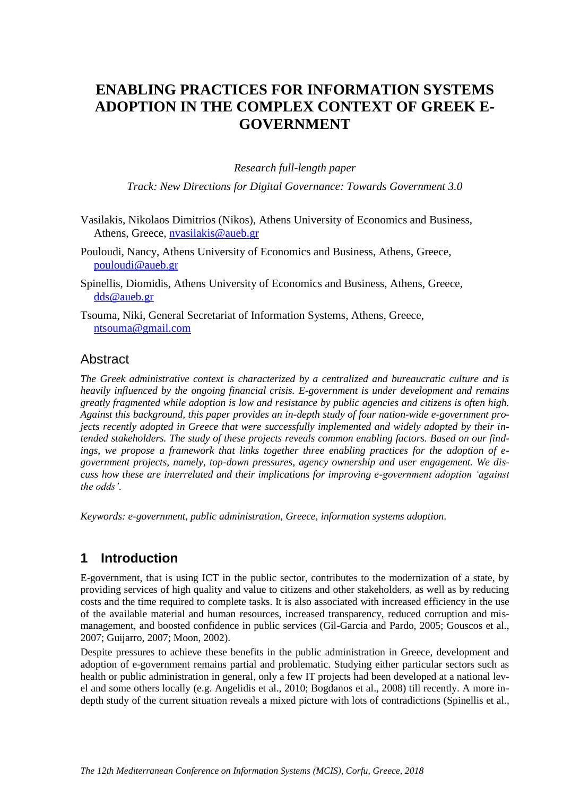# **ENABLING PRACTICES FOR INFORMATION SYSTEMS ADOPTION IN THE COMPLEX CONTEXT OF GREEK E-GOVERNMENT**

*Research full-length paper*

*Track: New Directions for Digital Governance: Towards Government 3.0*

- Vasilakis, Nikolaos Dimitrios (Nikos), Athens University of Economics and Business, Athens, Greece, [nvasilakis@aueb.gr](mailto:nvasilakis@aueb.gr)
- Pouloudi, Nancy, Athens University of Economics and Business, Athens, Greece, [pouloudi@aueb.gr](mailto:pouloudi@aueb.gr)
- Spinellis, Diomidis, Athens University of Economics and Business, Athens, Greece, [dds@aueb.gr](mailto:dds@aueb.gr)

Tsouma, Niki, General Secretariat of Information Systems, Athens, Greece, [ntsouma@gmail.com](mailto:ntsouma@gmail.com)

#### **Abstract**

*The Greek administrative context is characterized by a centralized and bureaucratic culture and is heavily influenced by the ongoing financial crisis. E-government is under development and remains greatly fragmented while adoption is low and resistance by public agencies and citizens is often high. Against this background, this paper provides an in-depth study of four nation-wide e-government projects recently adopted in Greece that were successfully implemented and widely adopted by their intended stakeholders. The study of these projects reveals common enabling factors. Based on our findings, we propose a framework that links together three enabling practices for the adoption of egovernment projects, namely, top-down pressures, agency ownership and user engagement. We discuss how these are interrelated and their implications for improving e-government adoption 'against the odds'.*

*Keywords: e-government, public administration, Greece, information systems adoption.*

#### **1 Introduction**

E-government, that is using ICT in the public sector, contributes to the modernization of a state, by providing services of high quality and value to citizens and other stakeholders, as well as by reducing costs and the time required to complete tasks. It is also associated with increased efficiency in the use of the available material and human resources, increased transparency, reduced corruption and mismanagement, and boosted confidence in public services (Gil-Garcia and Pardo, 2005; Gouscos et al., 2007; Guijarro, 2007; Moon, 2002).

Despite pressures to achieve these benefits in the public administration in Greece, development and adoption of e-government remains partial and problematic. Studying either particular sectors such as health or public administration in general, only a few IT projects had been developed at a national level and some others locally (e.g. Angelidis et al., 2010; Bogdanos et al., 2008) till recently. A more indepth study of the current situation reveals a mixed picture with lots of contradictions (Spinellis et al.,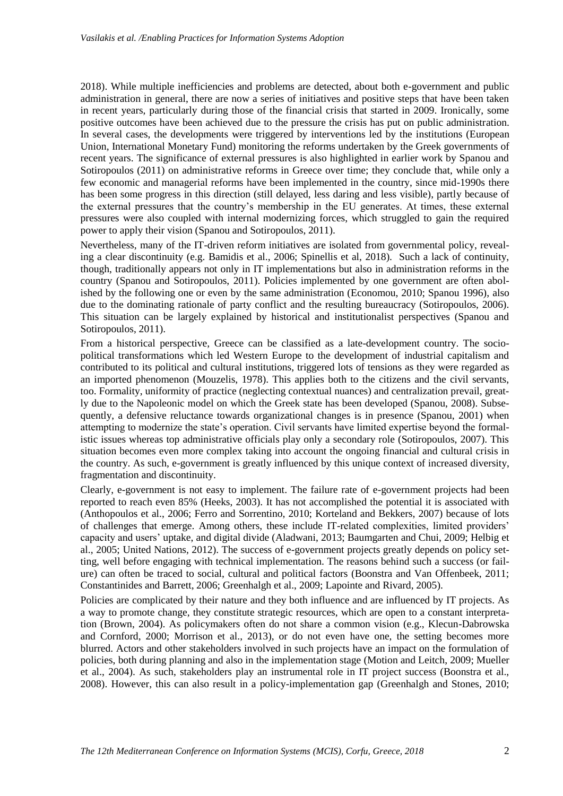2018). While multiple inefficiencies and problems are detected, about both e-government and public administration in general, there are now a series of initiatives and positive steps that have been taken in recent years, particularly during those of the financial crisis that started in 2009. Ironically, some positive outcomes have been achieved due to the pressure the crisis has put on public administration. In several cases, the developments were triggered by interventions led by the institutions (European Union, International Monetary Fund) monitoring the reforms undertaken by the Greek governments of recent years. The significance of external pressures is also highlighted in earlier work by Spanou and Sotiropoulos (2011) on administrative reforms in Greece over time; they conclude that, while only a few economic and managerial reforms have been implemented in the country, since mid-1990s there has been some progress in this direction (still delayed, less daring and less visible), partly because of the external pressures that the country's membership in the EU generates. At times, these external pressures were also coupled with internal modernizing forces, which struggled to gain the required power to apply their vision (Spanou and Sotiropoulos, 2011).

Nevertheless, many of the IT-driven reform initiatives are isolated from governmental policy, revealing a clear discontinuity (e.g. Bamidis et al., 2006; Spinellis et al, 2018). Such a lack of continuity, though, traditionally appears not only in IT implementations but also in administration reforms in the country (Spanou and Sotiropoulos, 2011). Policies implemented by one government are often abolished by the following one or even by the same administration (Economou, 2010; Spanou 1996), also due to the dominating rationale of party conflict and the resulting bureaucracy (Sotiropoulos, 2006). This situation can be largely explained by historical and institutionalist perspectives (Spanou and Sotiropoulos, 2011).

From a historical perspective, Greece can be classified as a late-development country. The sociopolitical transformations which led Western Europe to the development of industrial capitalism and contributed to its political and cultural institutions, triggered lots of tensions as they were regarded as an imported phenomenon (Mouzelis, 1978). This applies both to the citizens and the civil servants, too. Formality, uniformity of practice (neglecting contextual nuances) and centralization prevail, greatly due to the Napoleonic model on which the Greek state has been developed (Spanou, 2008). Subsequently, a defensive reluctance towards organizational changes is in presence (Spanou, 2001) when attempting to modernize the state's operation. Civil servants have limited expertise beyond the formalistic issues whereas top administrative officials play only a secondary role (Sotiropoulos, 2007). This situation becomes even more complex taking into account the ongoing financial and cultural crisis in the country. As such, e-government is greatly influenced by this unique context of increased diversity, fragmentation and discontinuity.

Clearly, e-government is not easy to implement. The failure rate of e-government projects had been reported to reach even 85% (Heeks, 2003). It has not accomplished the potential it is associated with (Anthopoulos et al., 2006; Ferro and Sorrentino, 2010; Korteland and Bekkers, 2007) because of lots of challenges that emerge. Among others, these include IT-related complexities, limited providers' capacity and users' uptake, and digital divide (Aladwani, 2013; Baumgarten and Chui, 2009; Helbig et al., 2005; United Nations, 2012). The success of e-government projects greatly depends on policy setting, well before engaging with technical implementation. The reasons behind such a success (or failure) can often be traced to social, cultural and political factors (Boonstra and Van Offenbeek, 2011; Constantinides and Barrett, 2006; Greenhalgh et al., 2009; Lapointe and Rivard, 2005).

Policies are complicated by their nature and they both influence and are influenced by IT projects. As a way to promote change, they constitute strategic resources, which are open to a constant interpretation (Brown, 2004). As policymakers often do not share a common vision (e.g., Klecun-Dabrowska and Cornford, 2000; Morrison et al., 2013), or do not even have one, the setting becomes more blurred. Actors and other stakeholders involved in such projects have an impact on the formulation of policies, both during planning and also in the implementation stage (Motion and Leitch, 2009; Mueller et al., 2004). As such, stakeholders play an instrumental role in IT project success (Boonstra et al., 2008). However, this can also result in a policy-implementation gap (Greenhalgh and Stones, 2010;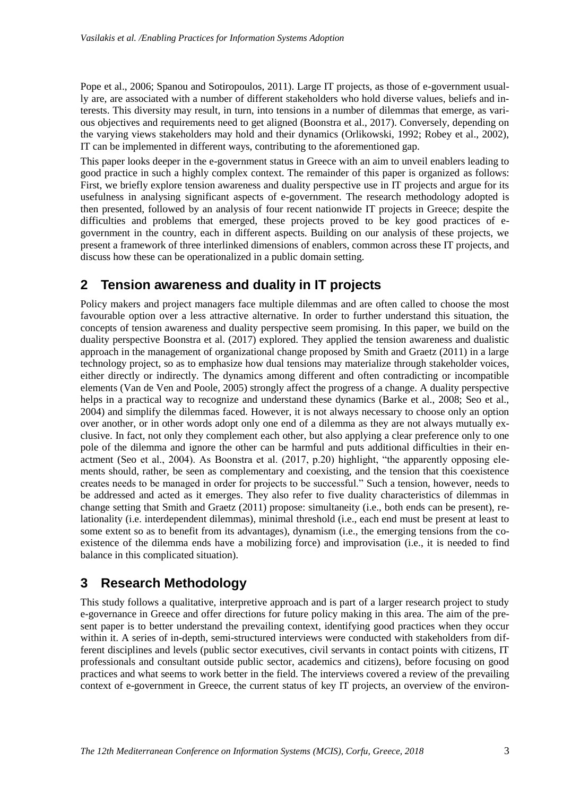Pope et al., 2006; Spanou and Sotiropoulos, 2011). Large IT projects, as those of e-government usually are, are associated with a number of different stakeholders who hold diverse values, beliefs and interests. This diversity may result, in turn, into tensions in a number of dilemmas that emerge, as various objectives and requirements need to get aligned (Boonstra et al., 2017). Conversely, depending on the varying views stakeholders may hold and their dynamics (Orlikowski, 1992; Robey et al., 2002), IT can be implemented in different ways, contributing to the aforementioned gap.

This paper looks deeper in the e-government status in Greece with an aim to unveil enablers leading to good practice in such a highly complex context. The remainder of this paper is organized as follows: First, we briefly explore tension awareness and duality perspective use in IT projects and argue for its usefulness in analysing significant aspects of e-government. The research methodology adopted is then presented, followed by an analysis of four recent nationwide IT projects in Greece; despite the difficulties and problems that emerged, these projects proved to be key good practices of egovernment in the country, each in different aspects. Building on our analysis of these projects, we present a framework of three interlinked dimensions of enablers, common across these IT projects, and discuss how these can be operationalized in a public domain setting.

## **2 Tension awareness and duality in IT projects**

Policy makers and project managers face multiple dilemmas and are often called to choose the most favourable option over a less attractive alternative. In order to further understand this situation, the concepts of tension awareness and duality perspective seem promising. In this paper, we build on the duality perspective Boonstra et al. (2017) explored. They applied the tension awareness and dualistic approach in the management of organizational change proposed by Smith and Graetz (2011) in a large technology project, so as to emphasize how dual tensions may materialize through stakeholder voices, either directly or indirectly. The dynamics among different and often contradicting or incompatible elements (Van de Ven and Poole, 2005) strongly affect the progress of a change. A duality perspective helps in a practical way to recognize and understand these dynamics (Barke et al., 2008; Seo et al., 2004) and simplify the dilemmas faced. However, it is not always necessary to choose only an option over another, or in other words adopt only one end of a dilemma as they are not always mutually exclusive. In fact, not only they complement each other, but also applying a clear preference only to one pole of the dilemma and ignore the other can be harmful and puts additional difficulties in their enactment (Seo et al., 2004). As Boonstra et al. (2017, p.20) highlight, "the apparently opposing elements should, rather, be seen as complementary and coexisting, and the tension that this coexistence creates needs to be managed in order for projects to be successful." Such a tension, however, needs to be addressed and acted as it emerges. They also refer to five duality characteristics of dilemmas in change setting that Smith and Graetz (2011) propose: simultaneity (i.e., both ends can be present), relationality (i.e. interdependent dilemmas), minimal threshold (i.e., each end must be present at least to some extent so as to benefit from its advantages), dynamism (i.e., the emerging tensions from the coexistence of the dilemma ends have a mobilizing force) and improvisation (i.e., it is needed to find balance in this complicated situation).

## **3 Research Methodology**

This study follows a qualitative, interpretive approach and is part of a larger research project to study e-governance in Greece and offer directions for future policy making in this area. The aim of the present paper is to better understand the prevailing context, identifying good practices when they occur within it. A series of in-depth, semi-structured interviews were conducted with stakeholders from different disciplines and levels (public sector executives, civil servants in contact points with citizens, IT professionals and consultant outside public sector, academics and citizens), before focusing on good practices and what seems to work better in the field. The interviews covered a review of the prevailing context of e-government in Greece, the current status of key IT projects, an overview of the environ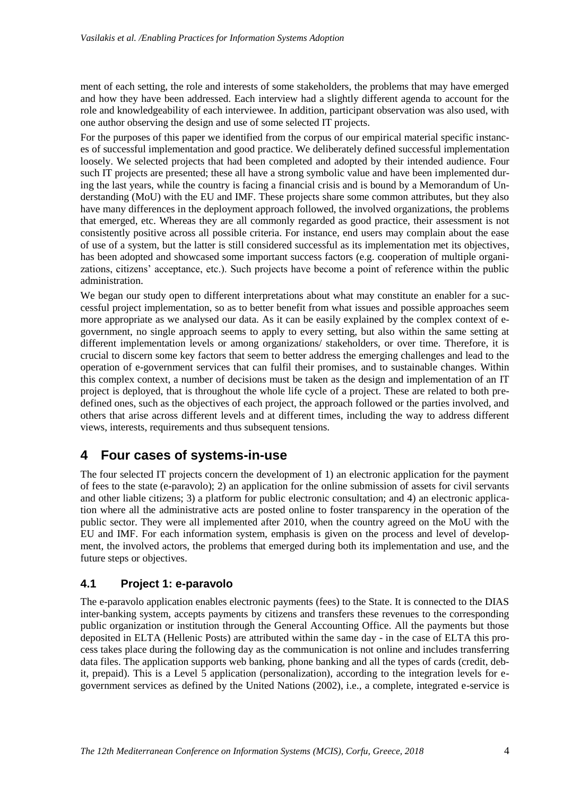ment of each setting, the role and interests of some stakeholders, the problems that may have emerged and how they have been addressed. Each interview had a slightly different agenda to account for the role and knowledgeability of each interviewee. In addition, participant observation was also used, with one author observing the design and use of some selected IT projects.

For the purposes of this paper we identified from the corpus of our empirical material specific instances of successful implementation and good practice. We deliberately defined successful implementation loosely. We selected projects that had been completed and adopted by their intended audience. Four such IT projects are presented; these all have a strong symbolic value and have been implemented during the last years, while the country is facing a financial crisis and is bound by a Memorandum of Understanding (MoU) with the EU and IMF. These projects share some common attributes, but they also have many differences in the deployment approach followed, the involved organizations, the problems that emerged, etc. Whereas they are all commonly regarded as good practice, their assessment is not consistently positive across all possible criteria. For instance, end users may complain about the ease of use of a system, but the latter is still considered successful as its implementation met its objectives, has been adopted and showcased some important success factors (e.g. cooperation of multiple organizations, citizens' acceptance, etc.). Such projects have become a point of reference within the public administration.

We began our study open to different interpretations about what may constitute an enabler for a successful project implementation, so as to better benefit from what issues and possible approaches seem more appropriate as we analysed our data. As it can be easily explained by the complex context of egovernment, no single approach seems to apply to every setting, but also within the same setting at different implementation levels or among organizations/ stakeholders, or over time. Therefore, it is crucial to discern some key factors that seem to better address the emerging challenges and lead to the operation of e-government services that can fulfil their promises, and to sustainable changes. Within this complex context, a number of decisions must be taken as the design and implementation of an IT project is deployed, that is throughout the whole life cycle of a project. These are related to both predefined ones, such as the objectives of each project, the approach followed or the parties involved, and others that arise across different levels and at different times, including the way to address different views, interests, requirements and thus subsequent tensions.

## **4 Four cases of systems-in-use**

The four selected IT projects concern the development of 1) an electronic application for the payment of fees to the state (e-paravolo); 2) an application for the online submission of assets for civil servants and other liable citizens; 3) a platform for public electronic consultation; and 4) an electronic application where all the administrative acts are posted online to foster transparency in the operation of the public sector. They were all implemented after 2010, when the country agreed on the MoU with the EU and IMF. For each information system, emphasis is given on the process and level of development, the involved actors, the problems that emerged during both its implementation and use, and the future steps or objectives.

#### **4.1 Project 1: e-paravolo**

The e-paravolo application enables electronic payments (fees) to the State. It is connected to the DIAS inter-banking system, accepts payments by citizens and transfers these revenues to the corresponding public organization or institution through the General Accounting Office. All the payments but those deposited in ELTA (Hellenic Posts) are attributed within the same day - in the case of ELTA this process takes place during the following day as the communication is not online and includes transferring data files. The application supports web banking, phone banking and all the types of cards (credit, debit, prepaid). This is a Level 5 application (personalization), according to the integration levels for egovernment services as defined by the United Nations (2002), i.e., a complete, integrated e-service is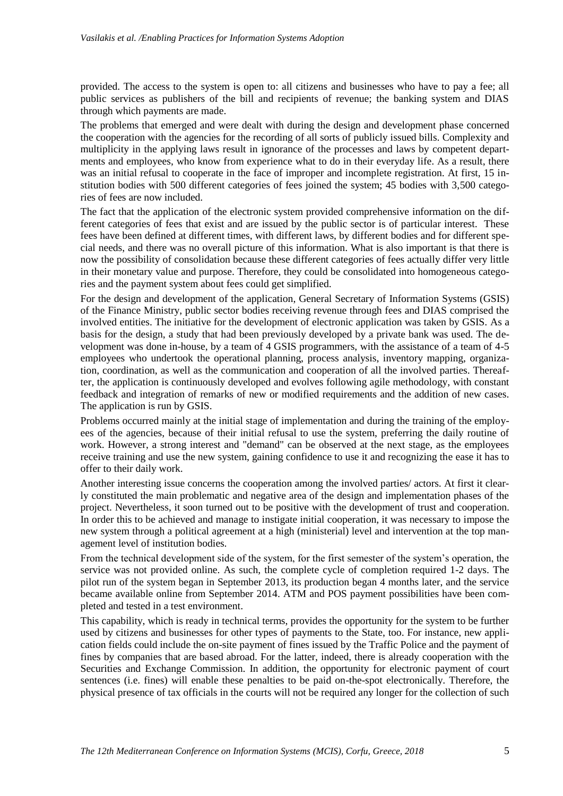provided. The access to the system is open to: all citizens and businesses who have to pay a fee; all public services as publishers of the bill and recipients of revenue; the banking system and DIAS through which payments are made.

The problems that emerged and were dealt with during the design and development phase concerned the cooperation with the agencies for the recording of all sorts of publicly issued bills. Complexity and multiplicity in the applying laws result in ignorance of the processes and laws by competent departments and employees, who know from experience what to do in their everyday life. As a result, there was an initial refusal to cooperate in the face of improper and incomplete registration. At first, 15 institution bodies with 500 different categories of fees joined the system; 45 bodies with 3,500 categories of fees are now included.

The fact that the application of the electronic system provided comprehensive information on the different categories of fees that exist and are issued by the public sector is of particular interest. These fees have been defined at different times, with different laws, by different bodies and for different special needs, and there was no overall picture of this information. What is also important is that there is now the possibility of consolidation because these different categories of fees actually differ very little in their monetary value and purpose. Therefore, they could be consolidated into homogeneous categories and the payment system about fees could get simplified.

For the design and development of the application, General Secretary of Information Systems (GSIS) of the Finance Ministry, public sector bodies receiving revenue through fees and DIAS comprised the involved entities. The initiative for the development of electronic application was taken by GSIS. As a basis for the design, a study that had been previously developed by a private bank was used. The development was done in-house, by a team of 4 GSIS programmers, with the assistance of a team of 4-5 employees who undertook the operational planning, process analysis, inventory mapping, organization, coordination, as well as the communication and cooperation of all the involved parties. Thereafter, the application is continuously developed and evolves following agile methodology, with constant feedback and integration of remarks of new or modified requirements and the addition of new cases. The application is run by GSIS.

Problems occurred mainly at the initial stage of implementation and during the training of the employees of the agencies, because of their initial refusal to use the system, preferring the daily routine of work. However, a strong interest and "demand" can be observed at the next stage, as the employees receive training and use the new system, gaining confidence to use it and recognizing the ease it has to offer to their daily work.

Another interesting issue concerns the cooperation among the involved parties/ actors. At first it clearly constituted the main problematic and negative area of the design and implementation phases of the project. Nevertheless, it soon turned out to be positive with the development of trust and cooperation. In order this to be achieved and manage to instigate initial cooperation, it was necessary to impose the new system through a political agreement at a high (ministerial) level and intervention at the top management level of institution bodies.

From the technical development side of the system, for the first semester of the system's operation, the service was not provided online. As such, the complete cycle of completion required 1-2 days. The pilot run of the system began in September 2013, its production began 4 months later, and the service became available online from September 2014. ATM and POS payment possibilities have been completed and tested in a test environment.

This capability, which is ready in technical terms, provides the opportunity for the system to be further used by citizens and businesses for other types of payments to the State, too. For instance, new application fields could include the on-site payment of fines issued by the Traffic Police and the payment of fines by companies that are based abroad. For the latter, indeed, there is already cooperation with the Securities and Exchange Commission. In addition, the opportunity for electronic payment of court sentences (i.e. fines) will enable these penalties to be paid on-the-spot electronically. Therefore, the physical presence of tax officials in the courts will not be required any longer for the collection of such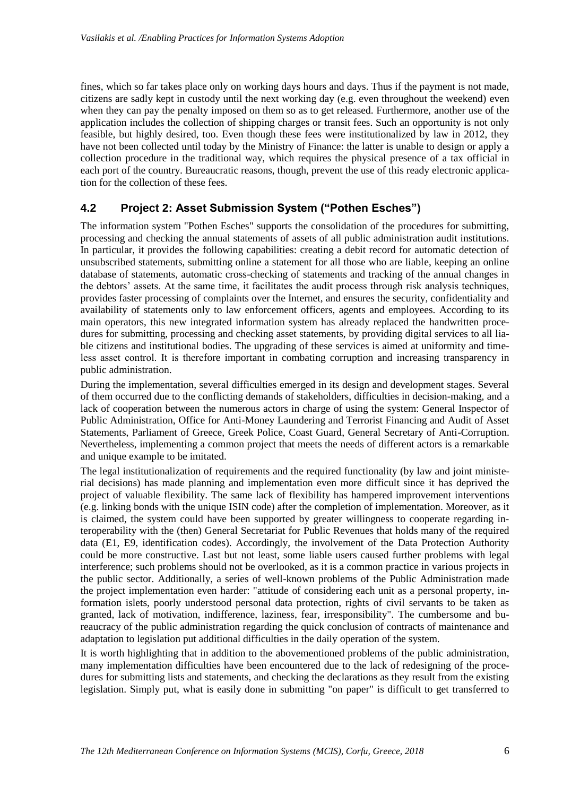fines, which so far takes place only on working days hours and days. Thus if the payment is not made, citizens are sadly kept in custody until the next working day (e.g. even throughout the weekend) even when they can pay the penalty imposed on them so as to get released. Furthermore, another use of the application includes the collection of shipping charges or transit fees. Such an opportunity is not only feasible, but highly desired, too. Even though these fees were institutionalized by law in 2012, they have not been collected until today by the Ministry of Finance: the latter is unable to design or apply a collection procedure in the traditional way, which requires the physical presence of a tax official in each port of the country. Bureaucratic reasons, though, prevent the use of this ready electronic application for the collection of these fees.

#### **4.2 Project 2: Asset Submission System ("Pothen Esches")**

The information system "Pothen Esches" supports the consolidation of the procedures for submitting, processing and checking the annual statements of assets of all public administration audit institutions. In particular, it provides the following capabilities: creating a debit record for automatic detection of unsubscribed statements, submitting online a statement for all those who are liable, keeping an online database of statements, automatic cross-checking of statements and tracking of the annual changes in the debtors' assets. At the same time, it facilitates the audit process through risk analysis techniques, provides faster processing of complaints over the Internet, and ensures the security, confidentiality and availability of statements only to law enforcement officers, agents and employees. According to its main operators, this new integrated information system has already replaced the handwritten procedures for submitting, processing and checking asset statements, by providing digital services to all liable citizens and institutional bodies. The upgrading of these services is aimed at uniformity and timeless asset control. Ιt is therefore important in combating corruption and increasing transparency in public administration.

During the implementation, several difficulties emerged in its design and development stages. Several of them occurred due to the conflicting demands of stakeholders, difficulties in decision-making, and a lack of cooperation between the numerous actors in charge of using the system: General Inspector of Public Administration, Office for Anti-Money Laundering and Terrorist Financing and Audit of Asset Statements, Parliament of Greece, Greek Police, Coast Guard, General Secretary of Anti-Corruption. Nevertheless, implementing a common project that meets the needs of different actors is a remarkable and unique example to be imitated.

The legal institutionalization of requirements and the required functionality (by law and joint ministerial decisions) has made planning and implementation even more difficult since it has deprived the project of valuable flexibility. The same lack of flexibility has hampered improvement interventions (e.g. linking bonds with the unique ISIN code) after the completion of implementation. Moreover, as it is claimed, the system could have been supported by greater willingness to cooperate regarding interoperability with the (then) General Secretariat for Public Revenues that holds many of the required data (E1, E9, identification codes). Accordingly, the involvement of the Data Protection Authority could be more constructive. Last but not least, some liable users caused further problems with legal interference; such problems should not be overlooked, as it is a common practice in various projects in the public sector. Additionally, a series of well-known problems of the Public Administration made the project implementation even harder: "attitude of considering each unit as a personal property, information islets, poorly understood personal data protection, rights of civil servants to be taken as granted, lack of motivation, indifference, laziness, fear, irresponsibility". The cumbersome and bureaucracy of the public administration regarding the quick conclusion of contracts of maintenance and adaptation to legislation put additional difficulties in the daily operation of the system.

It is worth highlighting that in addition to the abovementioned problems of the public administration, many implementation difficulties have been encountered due to the lack of redesigning of the procedures for submitting lists and statements, and checking the declarations as they result from the existing legislation. Simply put, what is easily done in submitting "on paper" is difficult to get transferred to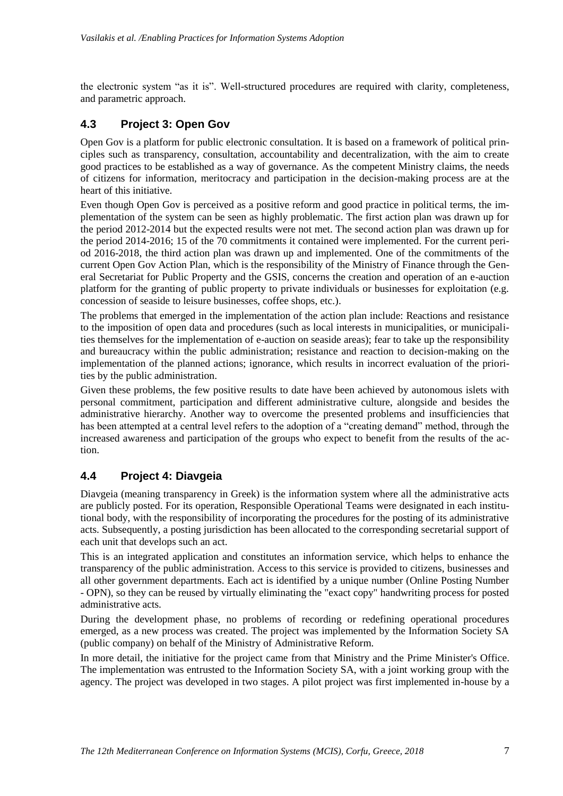the electronic system "as it is". Well-structured procedures are required with clarity, completeness, and parametric approach.

#### **4.3 Project 3: Open Gov**

Open Gov is a platform for public electronic consultation. It is based on a framework of political principles such as transparency, consultation, accountability and decentralization, with the aim to create good practices to be established as a way of governance. As the competent Ministry claims, the needs of citizens for information, meritocracy and participation in the decision-making process are at the heart of this initiative.

Even though Open Gov is perceived as a positive reform and good practice in political terms, the implementation of the system can be seen as highly problematic. The first action plan was drawn up for the period 2012-2014 but the expected results were not met. The second action plan was drawn up for the period 2014-2016; 15 of the 70 commitments it contained were implemented. For the current period 2016-2018, the third action plan was drawn up and implemented. One of the commitments of the current Open Gov Action Plan, which is the responsibility of the Ministry of Finance through the General Secretariat for Public Property and the GSIS, concerns the creation and operation of an e-auction platform for the granting of public property to private individuals or businesses for exploitation (e.g. concession of seaside to leisure businesses, coffee shops, etc.).

The problems that emerged in the implementation of the action plan include: Reactions and resistance to the imposition of open data and procedures (such as local interests in municipalities, or municipalities themselves for the implementation of e-auction on seaside areas); fear to take up the responsibility and bureaucracy within the public administration; resistance and reaction to decision-making on the implementation of the planned actions; ignorance, which results in incorrect evaluation of the priorities by the public administration.

Given these problems, the few positive results to date have been achieved by autonomous islets with personal commitment, participation and different administrative culture, alongside and besides the administrative hierarchy. Another way to overcome the presented problems and insufficiencies that has been attempted at a central level refers to the adoption of a "creating demand" method, through the increased awareness and participation of the groups who expect to benefit from the results of the action.

## **4.4 Project 4: Diavgeia**

Diavgeia (meaning transparency in Greek) is the information system where all the administrative acts are publicly posted. For its operation, Responsible Operational Teams were designated in each institutional body, with the responsibility of incorporating the procedures for the posting of its administrative acts. Subsequently, a posting jurisdiction has been allocated to the corresponding secretarial support of each unit that develops such an act.

This is an integrated application and constitutes an information service, which helps to enhance the transparency of the public administration. Access to this service is provided to citizens, businesses and all other government departments. Each act is identified by a unique number (Online Posting Number - OPN), so they can be reused by virtually eliminating the "exact copy" handwriting process for posted administrative acts.

During the development phase, no problems of recording or redefining operational procedures emerged, as a new process was created. The project was implemented by the Information Society SA (public company) on behalf of the Ministry of Administrative Reform.

In more detail, the initiative for the project came from that Ministry and the Prime Minister's Office. The implementation was entrusted to the Information Society SA, with a joint working group with the agency. The project was developed in two stages. A pilot project was first implemented in-house by a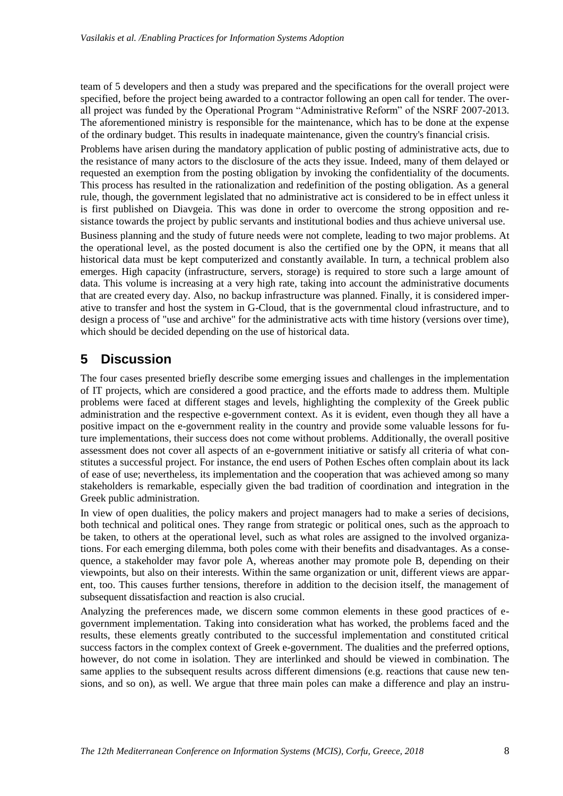team of 5 developers and then a study was prepared and the specifications for the overall project were specified, before the project being awarded to a contractor following an open call for tender. The overall project was funded by the Operational Program "Administrative Reform" of the NSRF 2007-2013. The aforementioned ministry is responsible for the maintenance, which has to be done at the expense of the ordinary budget. This results in inadequate maintenance, given the country's financial crisis.

Problems have arisen during the mandatory application of public posting of administrative acts, due to the resistance of many actors to the disclosure of the acts they issue. Indeed, many of them delayed or requested an exemption from the posting obligation by invoking the confidentiality of the documents. This process has resulted in the rationalization and redefinition of the posting obligation. As a general rule, though, the government legislated that no administrative act is considered to be in effect unless it is first published on Diavgeia. This was done in order to overcome the strong opposition and resistance towards the project by public servants and institutional bodies and thus achieve universal use.

Business planning and the study of future needs were not complete, leading to two major problems. At the operational level, as the posted document is also the certified one by the OPN, it means that all historical data must be kept computerized and constantly available. In turn, a technical problem also emerges. High capacity (infrastructure, servers, storage) is required to store such a large amount of data. This volume is increasing at a very high rate, taking into account the administrative documents that are created every day. Also, no backup infrastructure was planned. Finally, it is considered imperative to transfer and host the system in G-Cloud, that is the governmental cloud infrastructure, and to design a process of "use and archive" for the administrative acts with time history (versions over time), which should be decided depending on the use of historical data.

# **5 Discussion**

The four cases presented briefly describe some emerging issues and challenges in the implementation of IT projects, which are considered a good practice, and the efforts made to address them. Multiple problems were faced at different stages and levels, highlighting the complexity of the Greek public administration and the respective e-government context. As it is evident, even though they all have a positive impact on the e-government reality in the country and provide some valuable lessons for future implementations, their success does not come without problems. Additionally, the overall positive assessment does not cover all aspects of an e-government initiative or satisfy all criteria of what constitutes a successful project. For instance, the end users of Pothen Esches often complain about its lack of ease of use; nevertheless, its implementation and the cooperation that was achieved among so many stakeholders is remarkable, especially given the bad tradition of coordination and integration in the Greek public administration.

In view of open dualities, the policy makers and project managers had to make a series of decisions, both technical and political ones. They range from strategic or political ones, such as the approach to be taken, to others at the operational level, such as what roles are assigned to the involved organizations. For each emerging dilemma, both poles come with their benefits and disadvantages. As a consequence, a stakeholder may favor pole A, whereas another may promote pole B, depending on their viewpoints, but also on their interests. Within the same organization or unit, different views are apparent, too. This causes further tensions, therefore in addition to the decision itself, the management of subsequent dissatisfaction and reaction is also crucial.

Analyzing the preferences made, we discern some common elements in these good practices of egovernment implementation. Taking into consideration what has worked, the problems faced and the results, these elements greatly contributed to the successful implementation and constituted critical success factors in the complex context of Greek e-government. The dualities and the preferred options, however, do not come in isolation. They are interlinked and should be viewed in combination. The same applies to the subsequent results across different dimensions (e.g. reactions that cause new tensions, and so on), as well. We argue that three main poles can make a difference and play an instru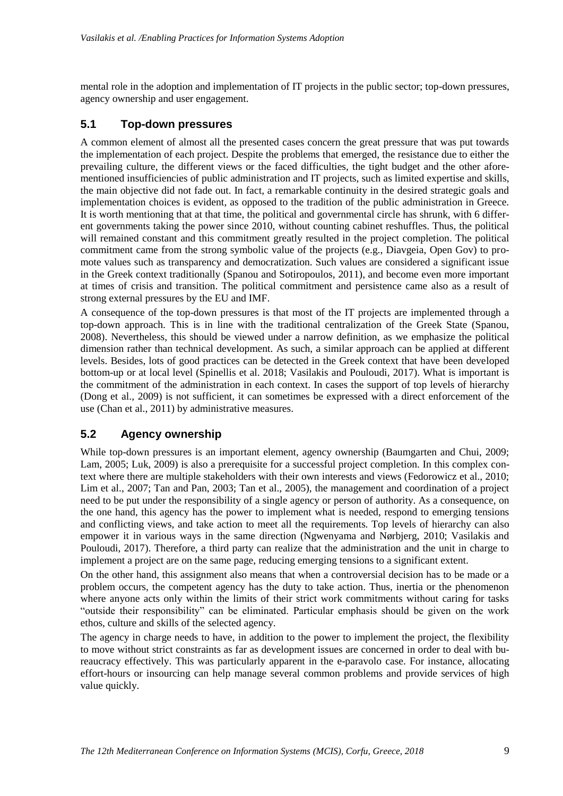mental role in the adoption and implementation of IT projects in the public sector; top-down pressures, agency ownership and user engagement.

#### **5.1 Top-down pressures**

A common element of almost all the presented cases concern the great pressure that was put towards the implementation of each project. Despite the problems that emerged, the resistance due to either the prevailing culture, the different views or the faced difficulties, the tight budget and the other aforementioned insufficiencies of public administration and IT projects, such as limited expertise and skills, the main objective did not fade out. In fact, a remarkable continuity in the desired strategic goals and implementation choices is evident, as opposed to the tradition of the public administration in Greece. It is worth mentioning that at that time, the political and governmental circle has shrunk, with 6 different governments taking the power since 2010, without counting cabinet reshuffles. Thus, the political will remained constant and this commitment greatly resulted in the project completion. The political commitment came from the strong symbolic value of the projects (e.g., Diavgeia, Open Gov) to promote values such as transparency and democratization. Such values are considered a significant issue in the Greek context traditionally (Spanou and Sotiropoulos, 2011), and become even more important at times of crisis and transition. The political commitment and persistence came also as a result of strong external pressures by the EU and IMF.

A consequence of the top-down pressures is that most of the IT projects are implemented through a top-down approach. This is in line with the traditional centralization of the Greek State (Spanou, 2008). Nevertheless, this should be viewed under a narrow definition, as we emphasize the political dimension rather than technical development. As such, a similar approach can be applied at different levels. Besides, lots of good practices can be detected in the Greek context that have been developed bottom-up or at local level (Spinellis et al. 2018; Vasilakis and Pouloudi, 2017). What is important is the commitment of the administration in each context. In cases the support of top levels of hierarchy (Dong et al., 2009) is not sufficient, it can sometimes be expressed with a direct enforcement of the use (Chan et al., 2011) by administrative measures.

#### **5.2 Agency ownership**

While top-down pressures is an important element, agency ownership (Baumgarten and Chui, 2009; Lam, 2005; Luk, 2009) is also a prerequisite for a successful project completion. In this complex context where there are multiple stakeholders with their own interests and views (Fedorowicz et al., 2010; Lim et al., 2007; Tan and Pan, 2003; Tan et al., 2005), the management and coordination of a project need to be put under the responsibility of a single agency or person of authority. As a consequence, on the one hand, this agency has the power to implement what is needed, respond to emerging tensions and conflicting views, and take action to meet all the requirements. Top levels of hierarchy can also empower it in various ways in the same direction (Ngwenyama and Nørbjerg, 2010; Vasilakis and Pouloudi, 2017). Therefore, a third party can realize that the administration and the unit in charge to implement a project are on the same page, reducing emerging tensions to a significant extent.

On the other hand, this assignment also means that when a controversial decision has to be made or a problem occurs, the competent agency has the duty to take action. Thus, inertia or the phenomenon where anyone acts only within the limits of their strict work commitments without caring for tasks "outside their responsibility" can be eliminated. Particular emphasis should be given on the work ethos, culture and skills of the selected agency.

The agency in charge needs to have, in addition to the power to implement the project, the flexibility to move without strict constraints as far as development issues are concerned in order to deal with bureaucracy effectively. This was particularly apparent in the e-paravolo case. For instance, allocating effort-hours or insourcing can help manage several common problems and provide services of high value quickly.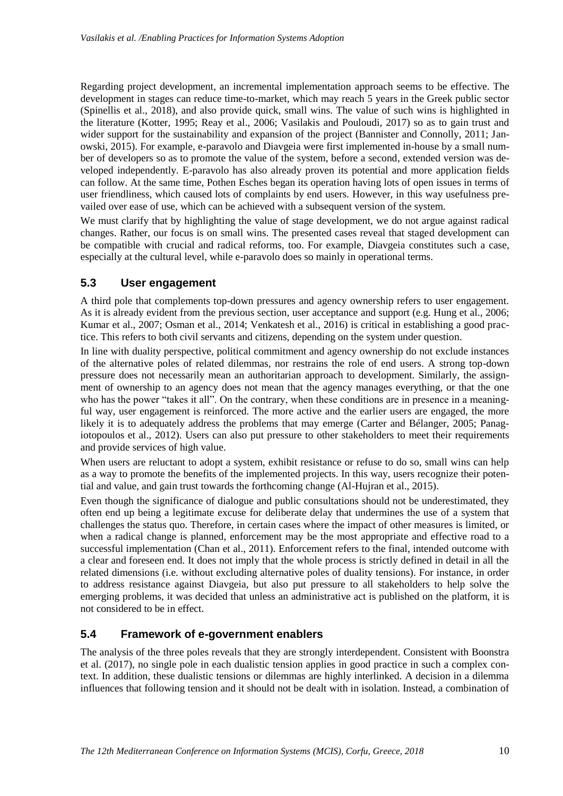Regarding project development, an incremental implementation approach seems to be effective. The development in stages can reduce time-to-market, which may reach 5 years in the Greek public sector (Spinellis et al., 2018), and also provide quick, small wins. The value of such wins is highlighted in the literature (Kotter, 1995; Reay et al., 2006; Vasilakis and Pouloudi, 2017) so as to gain trust and wider support for the sustainability and expansion of the project (Bannister and Connolly, 2011; Janowski, 2015). For example, e-paravolo and Diavgeia were first implemented in-house by a small number of developers so as to promote the value of the system, before a second, extended version was developed independently. E-paravolo has also already proven its potential and more application fields can follow. At the same time, Pothen Esches began its operation having lots of open issues in terms of user friendliness, which caused lots of complaints by end users. However, in this way usefulness prevailed over ease of use, which can be achieved with a subsequent version of the system.

We must clarify that by highlighting the value of stage development, we do not argue against radical changes. Rather, our focus is on small wins. The presented cases reveal that staged development can be compatible with crucial and radical reforms, too. For example, Diavgeia constitutes such a case, especially at the cultural level, while e-paravolo does so mainly in operational terms.

#### **5.3 User engagement**

A third pole that complements top-down pressures and agency ownership refers to user engagement. As it is already evident from the previous section, user acceptance and support (e.g. Hung et al., 2006; Kumar et al., 2007; Osman et al., 2014; Venkatesh et al., 2016) is critical in establishing a good practice. This refers to both civil servants and citizens, depending on the system under question.

In line with duality perspective, political commitment and agency ownership do not exclude instances of the alternative poles of related dilemmas, nor restrains the role of end users. A strong top-down pressure does not necessarily mean an authoritarian approach to development. Similarly, the assignment of ownership to an agency does not mean that the agency manages everything, or that the one who has the power "takes it all". On the contrary, when these conditions are in presence in a meaningful way, user engagement is reinforced. The more active and the earlier users are engaged, the more likely it is to adequately address the problems that may emerge (Carter and Bélanger, 2005; Panagiotopoulos et al., 2012). Users can also put pressure to other stakeholders to meet their requirements and provide services of high value.

When users are reluctant to adopt a system, exhibit resistance or refuse to do so, small wins can help as a way to promote the benefits of the implemented projects. In this way, users recognize their potential and value, and gain trust towards the forthcoming change (Al-Hujran et al., 2015).

Even though the significance of dialogue and public consultations should not be underestimated, they often end up being a legitimate excuse for deliberate delay that undermines the use of a system that challenges the status quo. Therefore, in certain cases where the impact of other measures is limited, or when a radical change is planned, enforcement may be the most appropriate and effective road to a successful implementation (Chan et al., 2011). Enforcement refers to the final, intended outcome with a clear and foreseen end. It does not imply that the whole process is strictly defined in detail in all the related dimensions (i.e. without excluding alternative poles of duality tensions). For instance, in order to address resistance against Diavgeia, but also put pressure to all stakeholders to help solve the emerging problems, it was decided that unless an administrative act is published on the platform, it is not considered to be in effect.

#### **5.4 Framework of e-government enablers**

The analysis of the three poles reveals that they are strongly interdependent. Consistent with Boonstra et al. (2017), no single pole in each dualistic tension applies in good practice in such a complex context. In addition, these dualistic tensions or dilemmas are highly interlinked. A decision in a dilemma influences that following tension and it should not be dealt with in isolation. Instead, a combination of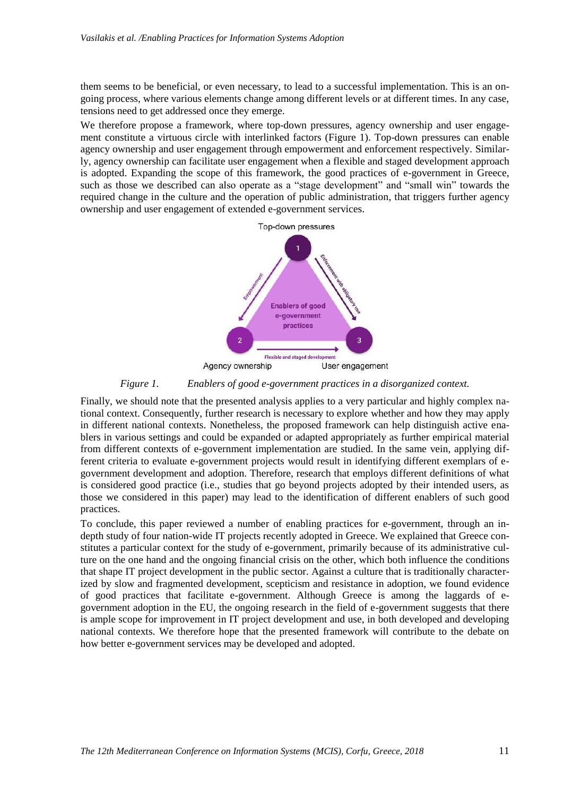them seems to be beneficial, or even necessary, to lead to a successful implementation. This is an ongoing process, where various elements change among different levels or at different times. In any case, tensions need to get addressed once they emerge.

We therefore propose a framework, where top-down pressures, agency ownership and user engagement constitute a virtuous circle with interlinked factors (Figure 1). Top-down pressures can enable agency ownership and user engagement through empowerment and enforcement respectively. Similarly, agency ownership can facilitate user engagement when a flexible and staged development approach is adopted. Expanding the scope of this framework, the good practices of e-government in Greece, such as those we described can also operate as a "stage development" and "small win" towards the required change in the culture and the operation of public administration, that triggers further agency ownership and user engagement of extended e-government services.



#### *Figure 1. Enablers of good e-government practices in a disorganized context.*

Finally, we should note that the presented analysis applies to a very particular and highly complex national context. Consequently, further research is necessary to explore whether and how they may apply in different national contexts. Nonetheless, the proposed framework can help distinguish active enablers in various settings and could be expanded or adapted appropriately as further empirical material from different contexts of e-government implementation are studied. In the same vein, applying different criteria to evaluate e-government projects would result in identifying different exemplars of egovernment development and adoption. Therefore, research that employs different definitions of what is considered good practice (i.e., studies that go beyond projects adopted by their intended users, as those we considered in this paper) may lead to the identification of different enablers of such good practices.

To conclude, this paper reviewed a number of enabling practices for e-government, through an indepth study of four nation-wide IT projects recently adopted in Greece. We explained that Greece constitutes a particular context for the study of e-government, primarily because of its administrative culture on the one hand and the ongoing financial crisis on the other, which both influence the conditions that shape IT project development in the public sector. Against a culture that is traditionally characterized by slow and fragmented development, scepticism and resistance in adoption, we found evidence of good practices that facilitate e-government. Although Greece is among the laggards of egovernment adoption in the EU, the ongoing research in the field of e-government suggests that there is ample scope for improvement in IT project development and use, in both developed and developing national contexts. We therefore hope that the presented framework will contribute to the debate on how better e-government services may be developed and adopted.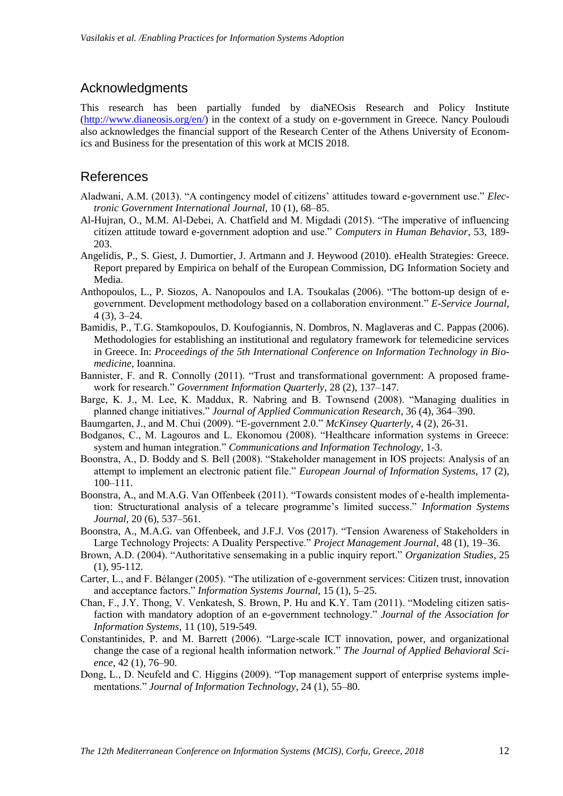#### Acknowledgments

This research has been partially funded by diaNEOsis Research and Policy Institute [\(http://www.dianeosis.org/en/\)](http://www.dianeosis.org/en/) in the context of a study on e-government in Greece. Nancy Pouloudi also acknowledges the financial support of the Research Center of the Athens University of Economics and Business for the presentation of this work at MCIS 2018.

#### References

- Aladwani, A.M. (2013). "A contingency model of citizens' attitudes toward e-government use." *Electronic Government International Journal*, 10 (1), 68–85.
- Al-Hujran, O., M.M. Al-Debei, A. Chatfield and M. Migdadi (2015). "The imperative of influencing citizen attitude toward e-government adoption and use." *Computers in Human Behavior*, 53, 189- 203.
- Angelidis, P., S. Giest, J. Dumortier, J. Artmann and J. Heywood (2010). eHealth Strategies: Greece. Report prepared by Empirica on behalf of the European Commission, DG Information Society and Media.
- Anthopoulos, L., P. Siozos, A. Nanopoulos and I.A. Tsoukalas (2006). "The bottom-up design of egovernment. Development methodology based on a collaboration environment." *E-Service Journal*, 4 (3), 3–24.
- Bamidis, P., T.G. Stamkopoulos, D. Koufogiannis, N. Dombros, N. Maglaveras and C. Pappas (2006). Methodologies for establishing an institutional and regulatory framework for telemedicine services in Greece. In: *Proceedings of the 5th International Conference on Information Technology in Biomedicine*, Ioannina.
- Bannister, F. and R. Connolly (2011). "Trust and transformational government: A proposed framework for research." *Government Information Quarterly*, 28 (2), 137–147.
- Barge, K. J., M. Lee, K. Maddux, R. Nabring and B. Townsend (2008). "Managing dualities in planned change initiatives." *Journal of Applied Communication Research*, 36 (4), 364–390.
- Baumgarten, J., and M. Chui (2009). "E-government 2.0." *McKinsey Quarterly*, 4 (2), 26-31.
- Bodganos, C., M. Lagouros and L. Ekonomou (2008). "Healthcare information systems in Greece: system and human integration." *Communications and Information Technology*, 1-3.
- Boonstra, A., D. Boddy and S. Bell (2008). "Stakeholder management in IOS projects: Analysis of an attempt to implement an electronic patient file." *European Journal of Information Systems*, 17 (2), 100–111.
- Boonstra, A., and M.A.G. Van Offenbeek (2011). "Towards consistent modes of e-health implementation: Structurational analysis of a telecare programme's limited success." *Information Systems Journal*, 20 (6), 537–561.
- Boonstra, A., M.A.G. van Offenbeek, and J.F.J. Vos (2017). "Tension Awareness of Stakeholders in Large Technology Projects: A Duality Perspective." *Project Management Journal*, 48 (1), 19–36.
- Brown, A.D. (2004). "Authoritative sensemaking in a public inquiry report." *Organization Studies*, 25 (1), 95-112.
- Carter, L., and F. Bélanger (2005). "The utilization of e-government services: Citizen trust, innovation and acceptance factors." *Information Systems Journal*, 15 (1), 5–25.
- Chan, F., J.Y. Thong, V. Venkatesh, S. Brown, P. Hu and K.Y. Tam (2011). "Modeling citizen satisfaction with mandatory adoption of an e-government technology." *Journal of the Association for Information Systems*, 11 (10), 519-549.
- Constantinides, P. and M. Barrett (2006). "Large-scale ICT innovation, power, and organizational change the case of a regional health information network." *The Journal of Applied Behavioral Science*, 42 (1), 76–90.
- Dong, L., D. Neufeld and C. Higgins (2009). "Top management support of enterprise systems implementations." *Journal of Information Technology*, 24 (1), 55–80.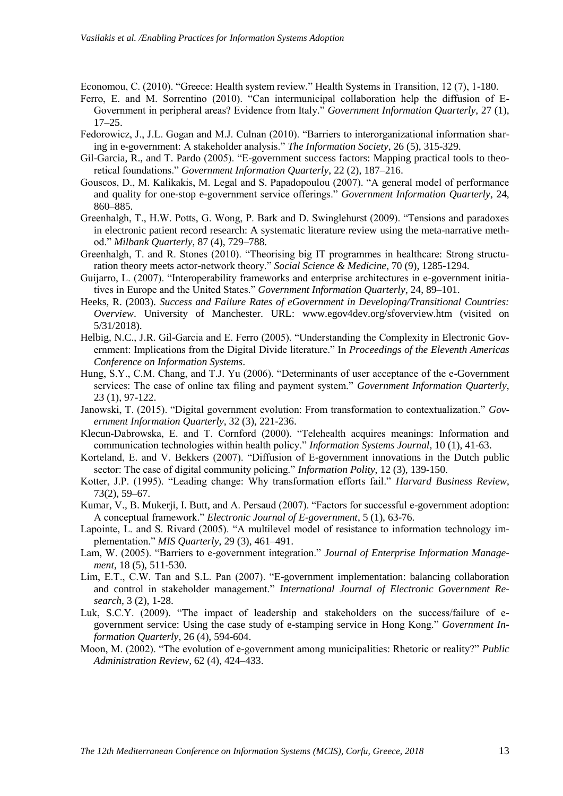Economou, C. (2010). "Greece: Health system review." Health Systems in Transition, 12 (7), 1-180.

- Ferro, E. and M. Sorrentino (2010). "Can intermunicipal collaboration help the diffusion of E-Government in peripheral areas? Evidence from Italy." *Government Information Quarterly*, 27 (1), 17–25.
- Fedorowicz, J., J.L. Gogan and M.J. Culnan (2010). "Barriers to interorganizational information sharing in e-government: A stakeholder analysis." *The Information Society*, 26 (5), 315-329.
- Gil-Garcia, R., and T. Pardo (2005). "E-government success factors: Mapping practical tools to theoretical foundations." *Government Information Quarterly*, 22 (2), 187–216.
- Gouscos, D., M. Kalikakis, M. Legal and S. Papadopoulou (2007). "A general model of performance and quality for one-stop e-government service offerings." *Government Information Quarterly*, 24, 860–885.
- Greenhalgh, T., H.W. Potts, G. Wong, P. Bark and D. Swinglehurst (2009). "Tensions and paradoxes in electronic patient record research: A systematic literature review using the meta-narrative method." *Milbank Quarterly*, 87 (4), 729–788.
- Greenhalgh, T. and R. Stones (2010). "Theorising big IT programmes in healthcare: Strong structuration theory meets actor-network theory." *Social Science & Medicine*, 70 (9), 1285-1294.
- Guijarro, L. (2007). "Interoperability frameworks and enterprise architectures in e-government initiatives in Europe and the United States." *Government Information Quarterly*, 24, 89–101.
- Heeks, R. (2003). *Success and Failure Rates of eGovernment in Developing/Transitional Countries: Overview*. University of Manchester. URL: [www.egov4dev.org/sfoverview.htm](http://www.egov4dev.org/sfoverview.htm) (visited on 5/31/2018).
- Helbig, N.C., J.R. Gil-Garcia and E. Ferro (2005). "Understanding the Complexity in Electronic Government: Implications from the Digital Divide literature." In *Proceedings of the Eleventh Americas Conference on Information Systems*.
- Hung, S.Y., C.M. Chang, and T.J. Yu (2006). "Determinants of user acceptance of the e-Government services: The case of online tax filing and payment system." *Government Information Quarterly*, 23 (1), 97-122.
- Janowski, T. (2015). "Digital government evolution: From transformation to contextualization." *Government Information Quarterly*, 32 (3), 221-236.
- Klecun-Dabrowska, E. and T. Cornford (2000). "Telehealth acquires meanings: Information and communication technologies within health policy." *Information Systems Journal*, 10 (1), 41-63.
- Korteland, E. and V. Bekkers (2007). "Diffusion of E-government innovations in the Dutch public sector: The case of digital community policing." *Information Polity*, 12 (3), 139-150.
- Kotter, J.P. (1995). "Leading change: Why transformation efforts fail." *Harvard Business Review*, 73(2), 59–67.
- Kumar, V., B. Mukerji, I. Butt, and A. Persaud (2007). "Factors for successful e-government adoption: A conceptual framework." *Electronic Journal of E-government*, 5 (1), 63-76.
- Lapointe, L. and S. Rivard (2005). "A multilevel model of resistance to information technology implementation." *MIS Quarterly*, 29 (3), 461–491.
- Lam, W. (2005). "Barriers to e-government integration." *Journal of Enterprise Information Management*, 18 (5), 511-530.
- Lim, E.T., C.W. Tan and S.L. Pan (2007). "E-government implementation: balancing collaboration and control in stakeholder management." *International Journal of Electronic Government Research*, 3 (2), 1-28.
- Luk, S.C.Y. (2009). "The impact of leadership and stakeholders on the success/failure of egovernment service: Using the case study of e-stamping service in Hong Kong." *Government Information Quarterly*, 26 (4), 594-604.
- Moon, M. (2002). "The evolution of e-government among municipalities: Rhetoric or reality?" *Public Administration Review*, 62 (4), 424–433.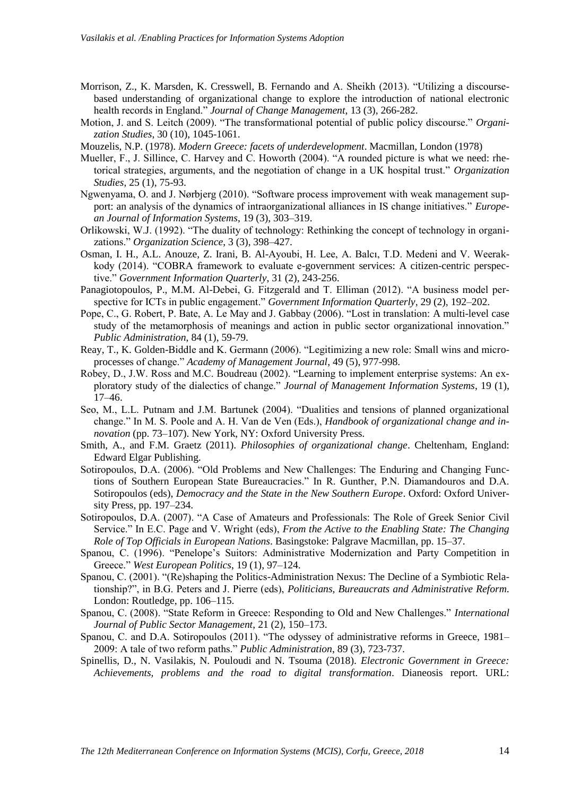- Morrison, Z., K. Marsden, K. Cresswell, B. Fernando and A. Sheikh (2013). "Utilizing a discoursebased understanding of organizational change to explore the introduction of national electronic health records in England." *Journal of Change Management*, 13 (3), 266-282.
- Motion, J. and S. Leitch (2009). "The transformational potential of public policy discourse." *Organization Studies*, 30 (10), 1045-1061.
- Mouzelis, N.P. (1978). *Modern Greece: facets of underdevelopment*. Macmillan, London (1978)
- Mueller, F., J. Sillince, C. Harvey and C. Howorth (2004). "A rounded picture is what we need: rhetorical strategies, arguments, and the negotiation of change in a UK hospital trust." *Organization Studies*, 25 (1), 75-93.
- Ngwenyama, O. and J. Nørbjerg (2010). "Software process improvement with weak management support: an analysis of the dynamics of intraorganizational alliances in IS change initiatives." *European Journal of Information Systems*, 19 (3), 303–319.
- Orlikowski, W.J. (1992). "The duality of technology: Rethinking the concept of technology in organizations." *Organization Science*, 3 (3), 398–427.
- Osman, I. H., A.L. Anouze, Z. Irani, B. Al-Ayoubi, H. Lee, A. Balcı, T.D. Medeni and V. Weerakkody (2014). "COBRA framework to evaluate e-government services: A citizen-centric perspective." *Government Information Quarterly*, 31 (2), 243-256.
- Panagiotopoulos, P., M.M. Al-Debei, G. Fitzgerald and T. Elliman (2012). "A business model perspective for ICTs in public engagement." *Government Information Quarterly*, 29 (2), 192–202.
- Pope, C., G. Robert, P. Bate, A. Le May and J. Gabbay (2006). "Lost in translation: A multi-level case study of the metamorphosis of meanings and action in public sector organizational innovation." *Public Administration*, 84 (1), 59-79.
- Reay, T., K. Golden-Biddle and K. Germann (2006). "Legitimizing a new role: Small wins and microprocesses of change." *Academy of Management Journal*, 49 (5), 977-998.
- Robey, D., J.W. Ross and M.C. Boudreau (2002). "Learning to implement enterprise systems: An exploratory study of the dialectics of change." *Journal of Management Information Systems*, 19 (1), 17–46.
- Seo, M., L.L. Putnam and J.M. Bartunek (2004). "Dualities and tensions of planned organizational change." In M. S. Poole and A. H. Van de Ven (Eds.), *Handbook of organizational change and innovation* (pp. 73–107). New York, NY: Oxford University Press.
- Smith, A., and F.M. Graetz (2011). *Philosophies of organizational change*. Cheltenham, England: Edward Elgar Publishing.
- Sotiropoulos, D.A. (2006). "Old Problems and New Challenges: The Enduring and Changing Functions of Southern European State Bureaucracies." In R. Gunther, P.N. Diamandouros and D.A. Sotiropoulos (eds), *Democracy and the State in the New Southern Europe*. Oxford: Oxford University Press, pp. 197–234.
- Sotiropoulos, D.A. (2007). "A Case of Amateurs and Professionals: The Role of Greek Senior Civil Service." In E.C. Page and V. Wright (eds), *From the Active to the Enabling State: The Changing Role of Top Officials in European Nations*. Basingstoke: Palgrave Macmillan, pp. 15–37.
- Spanou, C. (1996). "Penelope's Suitors: Administrative Modernization and Party Competition in Greece." *West European Politics*, 19 (1), 97–124.
- Spanou, C. (2001). "(Re)shaping the Politics-Administration Nexus: The Decline of a Symbiotic Relationship?", in B.G. Peters and J. Pierre (eds), *Politicians, Bureaucrats and Administrative Reform*. London: Routledge, pp. 106–115.
- Spanou, C. (2008). "State Reform in Greece: Responding to Old and New Challenges." *International Journal of Public Sector Management*, 21 (2), 150–173.
- Spanou, C. and D.A. Sotiropoulos (2011). "The odyssey of administrative reforms in Greece, 1981– 2009: A tale of two reform paths." *Public Administration*, 89 (3), 723-737.
- Spinellis, D., N. Vasilakis, N. Pouloudi and N. Tsouma (2018). *Electronic Government in Greece: Achievements, problems and the road to digital transformation*. Dianeosis report. URL: